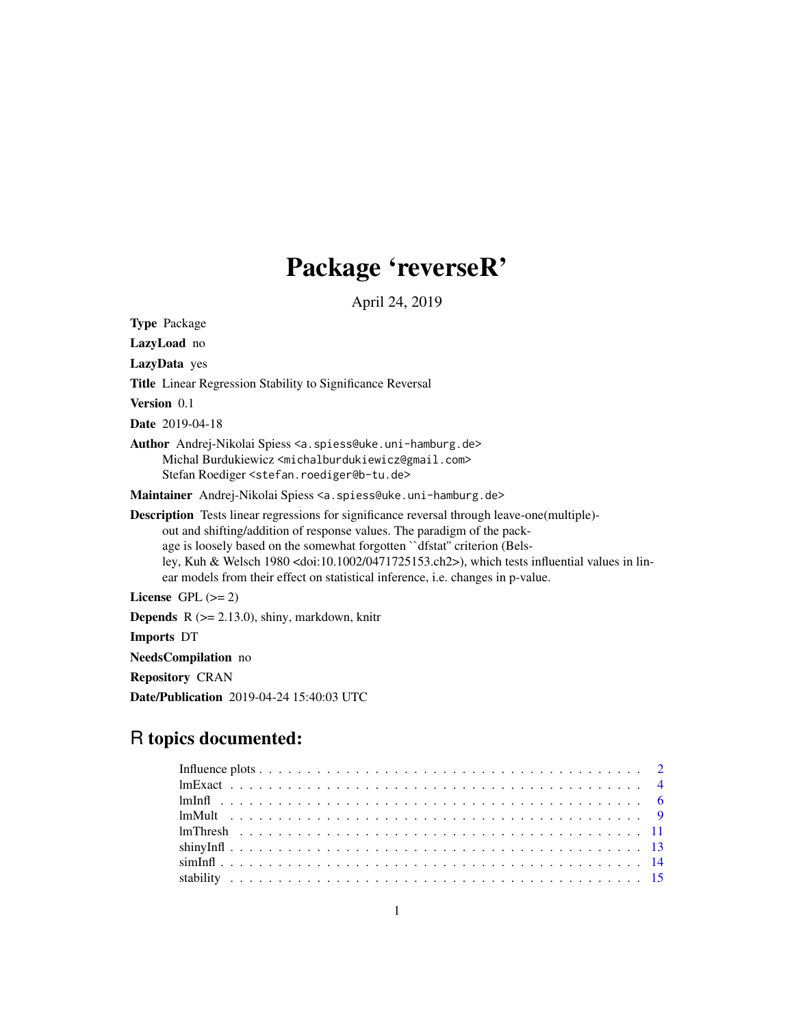## Package 'reverseR'

April 24, 2019

<span id="page-0-0"></span>Type Package LazyLoad no LazyData yes Title Linear Regression Stability to Significance Reversal Version 0.1 Date 2019-04-18 Author Andrej-Nikolai Spiess <a.spiess@uke.uni-hamburg.de> Michal Burdukiewicz <michalburdukiewicz@gmail.com> Stefan Roediger <stefan.roediger@b-tu.de> Maintainer Andrej-Nikolai Spiess <a.spiess@uke.uni-hamburg.de> Description Tests linear regressions for significance reversal through leave-one(multiple) out and shifting/addition of response values. The paradigm of the package is loosely based on the somewhat forgotten ``dfstat'' criterion (Belsley, Kuh & Welsch 1980 <doi:10.1002/0471725153.ch2>), which tests influential values in linear models from their effect on statistical inference, i.e. changes in p-value. License GPL  $(>= 2)$ **Depends** R  $(>= 2.13.0)$ , shiny, markdown, knitr Imports DT

NeedsCompilation no

Repository CRAN

Date/Publication 2019-04-24 15:40:03 UTC

### R topics documented: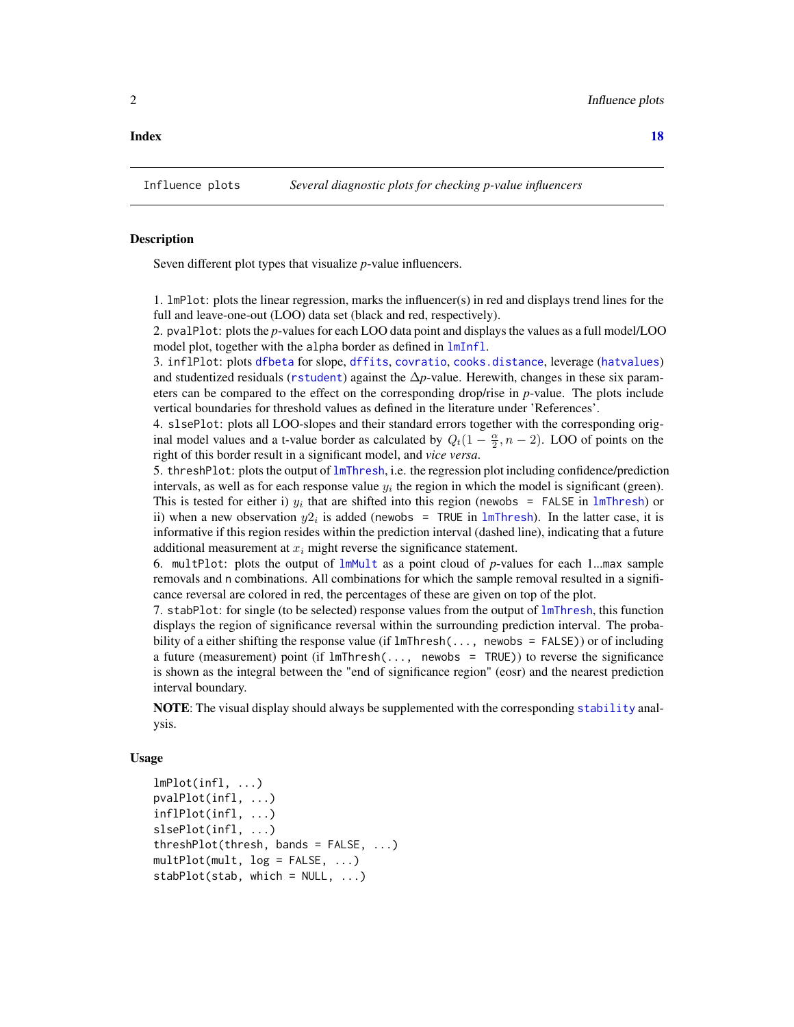<span id="page-1-0"></span>

#### Description

Seven different plot types that visualize *p*-value influencers.

1. lmPlot: plots the linear regression, marks the influencer(s) in red and displays trend lines for the full and leave-one-out (LOO) data set (black and red, respectively).

2. pvalPlot: plots the *p*-values for each LOO data point and displays the values as a full model/LOO model plot, together with the alpha border as defined in [lmInfl](#page-5-1).

3. inflPlot: plots [dfbeta](#page-0-0) for slope, [dffits](#page-0-0), [covratio](#page-0-0), [cooks.distance](#page-0-0), leverage ([hatvalues](#page-0-0)) and studentized residuals ([rstudent](#page-0-0)) against the ∆*p*-value. Herewith, changes in these six parameters can be compared to the effect on the corresponding drop/rise in *p*-value. The plots include vertical boundaries for threshold values as defined in the literature under 'References'.

4. slsePlot: plots all LOO-slopes and their standard errors together with the corresponding original model values and a t-value border as calculated by  $Q_t(1 - \frac{\alpha}{2}, n - 2)$ . LOO of points on the right of this border result in a significant model, and *vice versa*.

5. threshPlot: plots the output of [lmThresh](#page-10-1), i.e. the regression plot including confidence/prediction intervals, as well as for each response value  $y_i$  the region in which the model is significant (green). This is tested for either i)  $y_i$  that are shifted into this region (newobs = FALSE in [lmThresh](#page-10-1)) or ii) when a new observation  $y2_i$  is added (newobs = TRUE in [lmThresh](#page-10-1)). In the latter case, it is informative if this region resides within the prediction interval (dashed line), indicating that a future additional measurement at  $x_i$  might reverse the significance statement.

6. multPlot: plots the output of [lmMult](#page-8-1) as a point cloud of *p*-values for each 1...max sample removals and n combinations. All combinations for which the sample removal resulted in a significance reversal are colored in red, the percentages of these are given on top of the plot.

7. stabPlot: for single (to be selected) response values from the output of  $lmThresh$ , this function displays the region of significance reversal within the surrounding prediction interval. The probability of a either shifting the response value (if  $lmThresh(..., newobs = FALSE)$ ) or of including a future (measurement) point (if lmThresh(..., newobs = TRUE)) to reverse the significance is shown as the integral between the "end of significance region" (eosr) and the nearest prediction interval boundary.

NOTE: The visual display should always be supplemented with the corresponding [stability](#page-14-1) analysis.

#### Usage

```
lmPlot(infl, ...)
pvalPlot(infl, ...)
inflPlot(infl, ...)
slsePlot(infl, ...)
threshold(thresh, bands = FALSE, ...)multPlot(mult, log = FALSE, ...)
stabPlot(stat, which = NULL, ...)
```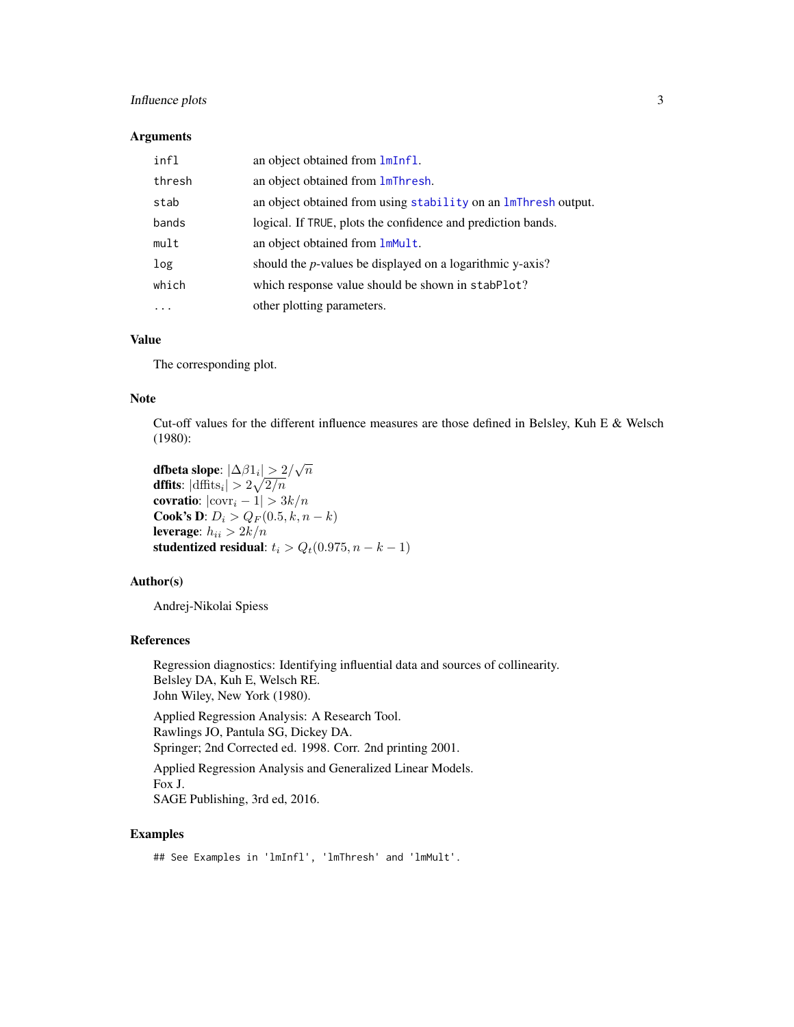#### <span id="page-2-0"></span>Influence plots 3

#### Arguments

| infl   | an object obtained from lmInfl.                                |
|--------|----------------------------------------------------------------|
| thresh | an object obtained from <b>lmThresh</b> .                      |
| stab   | an object obtained from using stability on an ImThresh output. |
| bands  | logical. If TRUE, plots the confidence and prediction bands.   |
| mult   | an object obtained from lmMult.                                |
| log    | should the $p$ -values be displayed on a logarithmic y-axis?   |
| which  | which response value should be shown in stabPlot?              |
| .      | other plotting parameters.                                     |

#### Value

The corresponding plot.

#### Note

Cut-off values for the different influence measures are those defined in Belsley, Kuh E & Welsch (1980):

dfbeta slope:  $|\Delta \beta 1_i| > 2/\sqrt{n}$ **dffits**:  $|\text{diffits}_i| > 2\sqrt{2/n}$ covratio:  $|\text{covr}_i - 1| > 3k/n$ **Cook's D**:  $D_i > Q_F(0.5, k, n - k)$ leverage:  $h_{ii} > 2k/n$ studentized residual:  $t_i > Q_t(0.975, n-k-1)$ 

#### Author(s)

Andrej-Nikolai Spiess

#### References

Regression diagnostics: Identifying influential data and sources of collinearity. Belsley DA, Kuh E, Welsch RE. John Wiley, New York (1980).

Applied Regression Analysis: A Research Tool. Rawlings JO, Pantula SG, Dickey DA. Springer; 2nd Corrected ed. 1998. Corr. 2nd printing 2001.

Applied Regression Analysis and Generalized Linear Models. Fox J. SAGE Publishing, 3rd ed, 2016.

#### Examples

## See Examples in 'lmInfl', 'lmThresh' and 'lmMult'.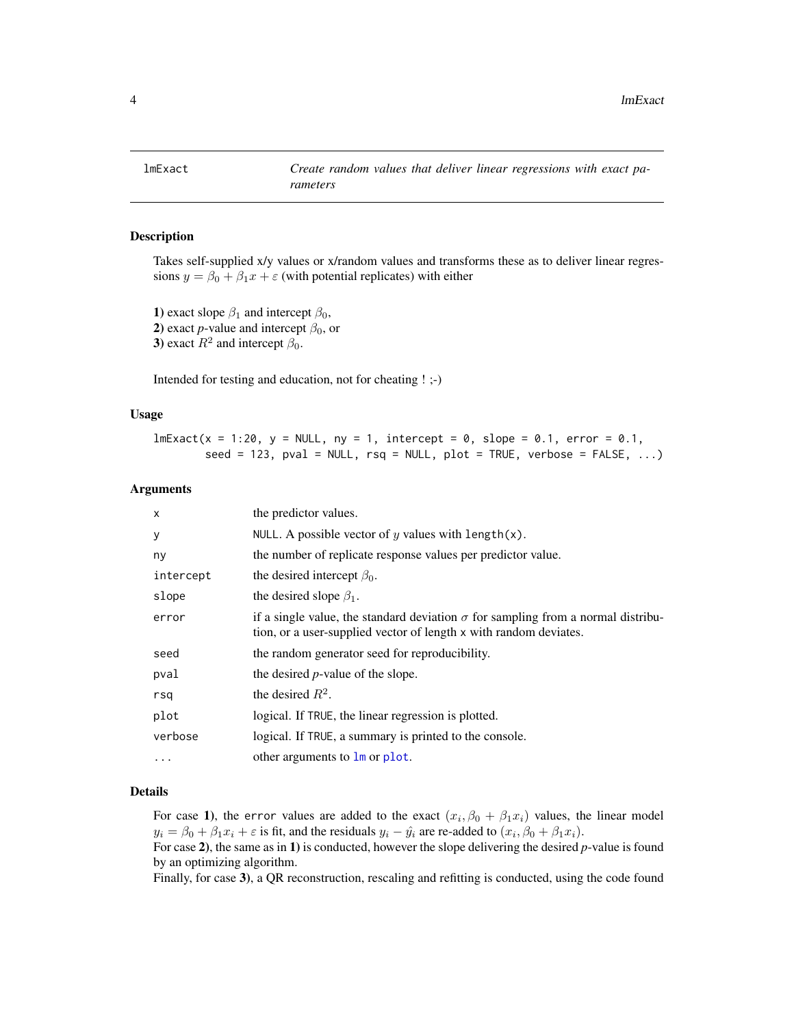<span id="page-3-1"></span><span id="page-3-0"></span>

#### Description

Takes self-supplied x/y values or x/random values and transforms these as to deliver linear regressions  $y = \beta_0 + \beta_1 x + \varepsilon$  (with potential replicates) with either

1) exact slope  $\beta_1$  and intercept  $\beta_0$ , 2) exact *p*-value and intercept  $\beta_0$ , or 3) exact  $R^2$  and intercept  $\beta_0$ .

Intended for testing and education, not for cheating ! ;-)

#### Usage

 $lmExact(x = 1:20, y = NULL, ny = 1, intercept = 0, slope = 0.1, error = 0.1,$  $seed = 123$ ,  $pval = NULL$ ,  $rsq = NULL$ ,  $plot = TRUE$ ,  $verbose = FALSE$ , ...)

#### Arguments

| $\boldsymbol{\mathsf{x}}$ | the predictor values.                                                                                                                                        |
|---------------------------|--------------------------------------------------------------------------------------------------------------------------------------------------------------|
| У                         | NULL. A possible vector of y values with length(x).                                                                                                          |
| ny                        | the number of replicate response values per predictor value.                                                                                                 |
| intercept                 | the desired intercept $\beta_0$ .                                                                                                                            |
| slope                     | the desired slope $\beta_1$ .                                                                                                                                |
| error                     | if a single value, the standard deviation $\sigma$ for sampling from a normal distribu-<br>tion, or a user-supplied vector of length x with random deviates. |
| seed                      | the random generator seed for reproducibility.                                                                                                               |
| pval                      | the desired <i>p</i> -value of the slope.                                                                                                                    |
| rsq                       | the desired $R^2$ .                                                                                                                                          |
| plot                      | logical. If TRUE, the linear regression is plotted.                                                                                                          |
| verbose                   | logical. If TRUE, a summary is printed to the console.                                                                                                       |
| $\cdots$                  | other arguments to $\text{Im}$ or plot.                                                                                                                      |

#### Details

For case 1), the error values are added to the exact  $(x_i, \beta_0 + \beta_1 x_i)$  values, the linear model  $y_i = \beta_0 + \beta_1 x_i + \varepsilon$  is fit, and the residuals  $y_i - \hat{y}_i$  are re-added to  $(x_i, \beta_0 + \beta_1 x_i)$ .

For case 2), the same as in 1) is conducted, however the slope delivering the desired *p*-value is found by an optimizing algorithm.

Finally, for case 3), a QR reconstruction, rescaling and refitting is conducted, using the code found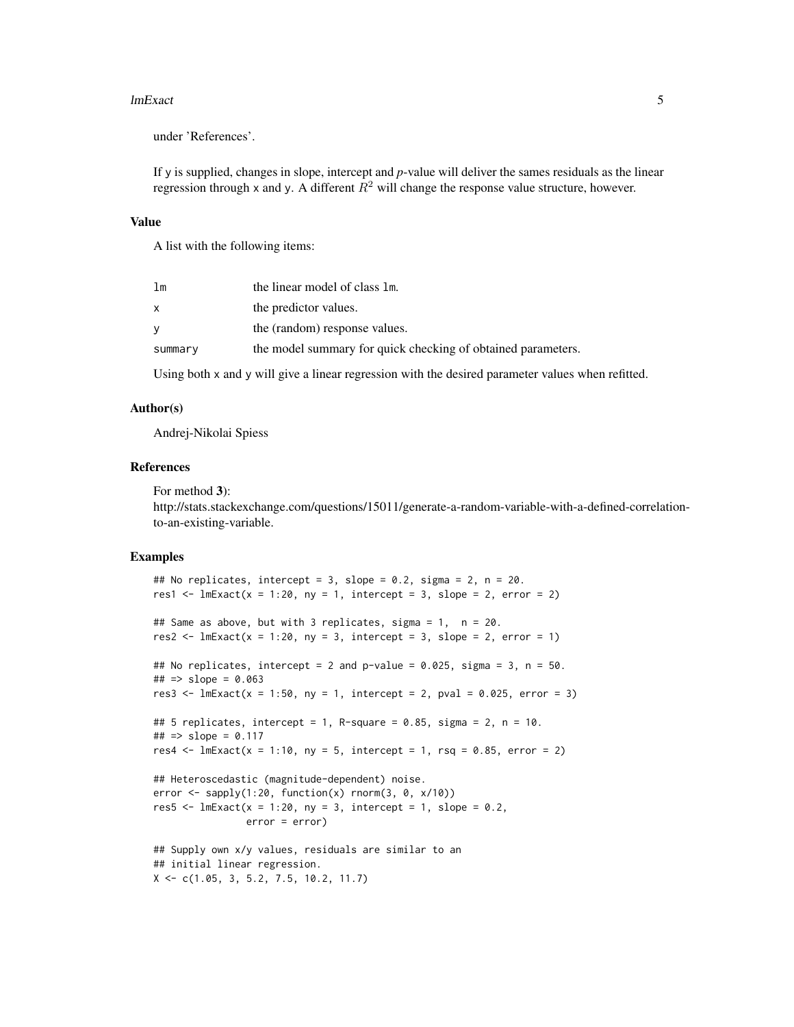#### lmExact 5

under 'References'.

If y is supplied, changes in slope, intercept and *p*-value will deliver the sames residuals as the linear regression through x and y. A different  $R^2$  will change the response value structure, however.

#### Value

A list with the following items:

| 1 <sub>m</sub> | the linear model of class 1m.                                |
|----------------|--------------------------------------------------------------|
| X              | the predictor values.                                        |
| y              | the (random) response values.                                |
| summary        | the model summary for quick checking of obtained parameters. |

Using both x and y will give a linear regression with the desired parameter values when refitted.

#### Author(s)

Andrej-Nikolai Spiess

#### References

For method 3): http://stats.stackexchange.com/questions/15011/generate-a-random-variable-with-a-defined-correlationto-an-existing-variable.

#### Examples

```
## No replicates, intercept = 3, slope = 0.2, sigma = 2, n = 20.
res1 \leftarrow lmExact(x = 1:20, ny = 1, intercept = 3, slope = 2, error = 2)
## Same as above, but with 3 replicates, sigma = 1, n = 20.
res2 \le lmExact(x = 1:20, ny = 3, intercept = 3, slope = 2, error = 1)
## No replicates, intercept = 2 and p-value = 0.025, sigma = 3, n = 50.
\# \# \implies slope = 0.063
res3 <- lmExact(x = 1:50, ny = 1, intercept = 2, pval = 0.025, error = 3)## 5 replicates, intercept = 1, R-square = 0.85, sigma = 2, n = 10.
\# \# \implies slope = 0.117
res4 <- lmExact(x = 1:10, ny = 5, intercept = 1, rsq = 0.85, error = 2)## Heteroscedastic (magnitude-dependent) noise.
error \leq sapply(1:20, function(x) rnorm(3, 0, x/10))
res5 \leq lmExact(x = 1:20, ny = 3, intercept = 1, slope = 0.2,
                error = error)
## Supply own x/y values, residuals are similar to an
## initial linear regression.
X \leftarrow c(1.05, 3, 5.2, 7.5, 10.2, 11.7)
```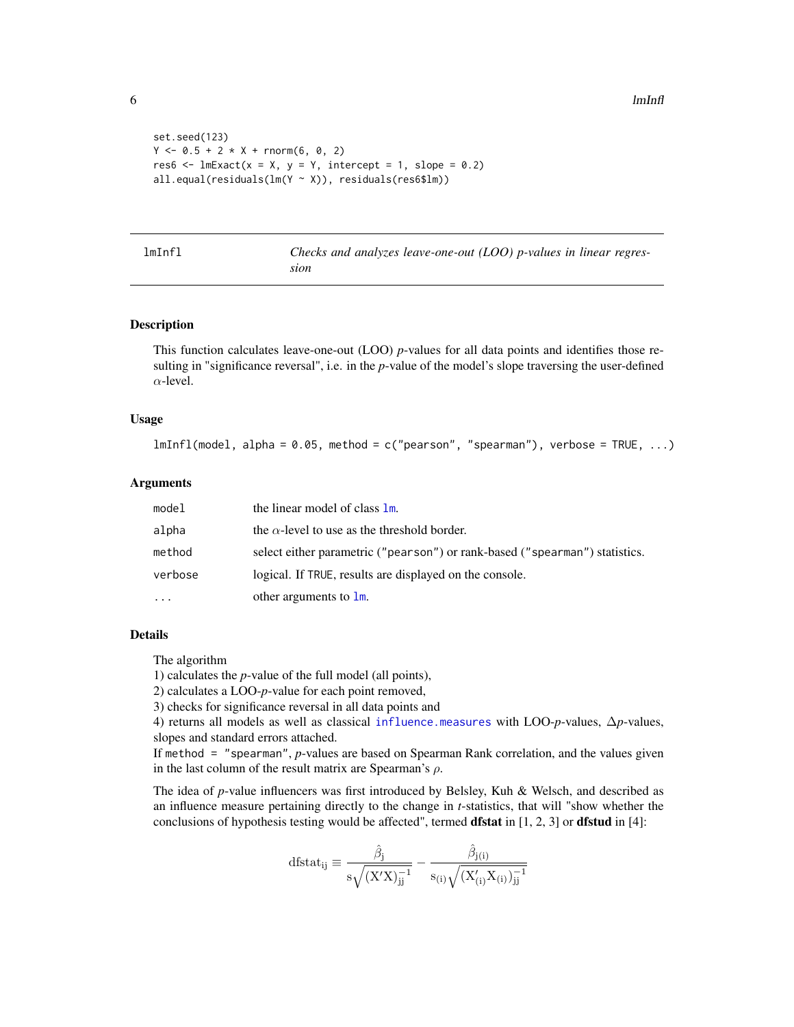```
set.seed(123)
Y \le -0.5 + 2 \times X + \text{rnorm}(6, 0, 2)res6 \le lmExact(x = X, y = Y, intercept = 1, slope = 0.2)
all.equal(residuals(lm(Y ~ X)), residuals(res6$lm))
```

| mInfl | Checks ar |
|-------|-----------|
|       |           |

<span id="page-5-1"></span>lmInfl *Checks and analyzes leave-one-out (LOO) p-values in linear regression*

#### Description

This function calculates leave-one-out (LOO) *p*-values for all data points and identifies those resulting in "significance reversal", i.e. in the *p*-value of the model's slope traversing the user-defined  $\alpha$ -level.

#### Usage

```
lmInfl(model, alpha = 0.05, method = c("pearson", "spearman"), verbose = TRUE, ...)
```
#### Arguments

| the linear model of class 1m.                                               |
|-----------------------------------------------------------------------------|
| the $\alpha$ -level to use as the threshold border.                         |
| select either parametric ("pearson") or rank-based ("spearman") statistics. |
| logical. If TRUE, results are displayed on the console.                     |
| other arguments to $\mathbf{lm}$ .                                          |
|                                                                             |

#### Details

The algorithm

1) calculates the *p*-value of the full model (all points),

2) calculates a LOO-*p*-value for each point removed,

3) checks for significance reversal in all data points and

4) returns all models as well as classical [influence.measures](#page-0-0) with LOO-*p*-values, ∆*p*-values, slopes and standard errors attached.

If method = "spearman", *p*-values are based on Spearman Rank correlation, and the values given in the last column of the result matrix are Spearman's  $\rho$ .

The idea of *p*-value influencers was first introduced by Belsley, Kuh & Welsch, and described as an influence measure pertaining directly to the change in *t*-statistics, that will "show whether the conclusions of hypothesis testing would be affected", termed **dfstat** in  $[1, 2, 3]$  or **dfstud** in  $[4]$ :

$$
dfstat_{ij} \equiv \frac{\hat{\beta}_j}{s\sqrt{(X'X)^{-1}_{jj}}} - \frac{\hat{\beta}_{j(i)}}{s_{(i)}\sqrt{(X'_{(i)}X_{(i)})^{-1}_{jj}}}
$$

<span id="page-5-0"></span>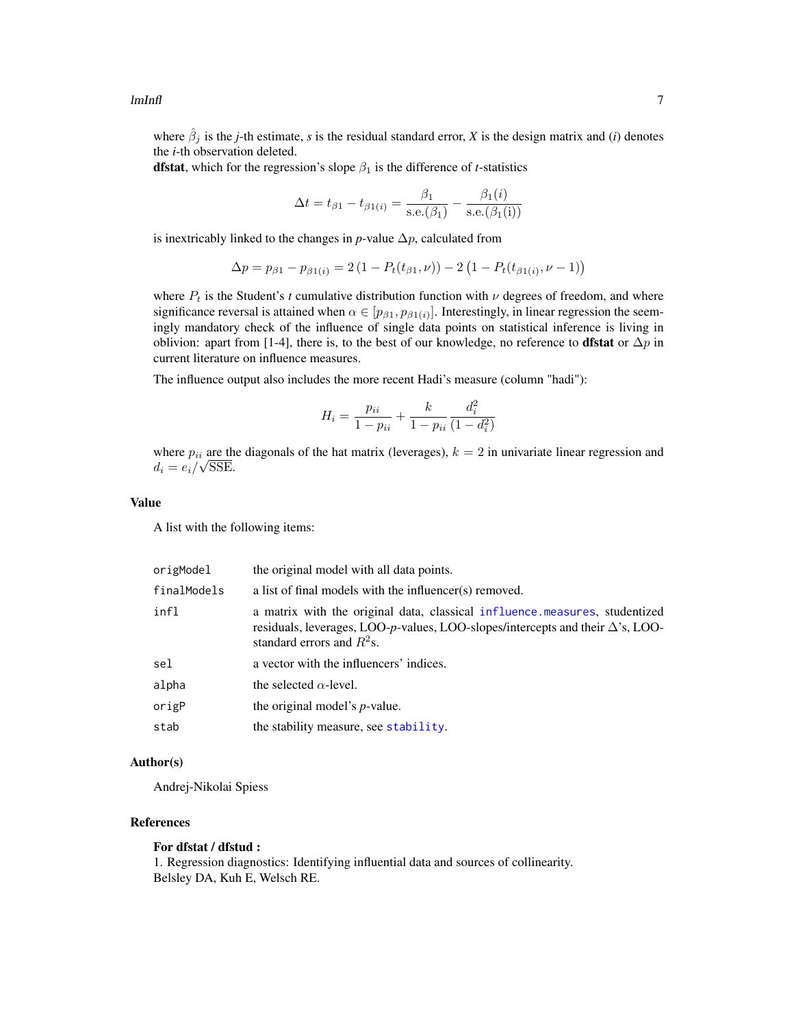<span id="page-6-0"></span>where  $\hat{\beta}_j$  is the *j*-th estimate, *s* is the residual standard error, *X* is the design matrix and (*i*) denotes the *i*-th observation deleted.

**dfstat**, which for the regression's slope  $\beta_1$  is the difference of *t*-statistics

$$
\Delta t = t_{\beta 1} - t_{\beta 1(i)} = \frac{\beta_1}{\text{s.e.}(\beta_1)} - \frac{\beta_1(i)}{\text{s.e.}(\beta_1(i))}
$$

is inextricably linked to the changes in  $p$ -value  $\Delta p$ , calculated from

$$
\Delta p = p_{\beta 1} - p_{\beta 1(i)} = 2\left(1 - P_t(t_{\beta 1}, \nu)\right) - 2\left(1 - P_t(t_{\beta 1(i)}, \nu - 1)\right)
$$

where  $P_t$  is the Student's *t* cumulative distribution function with  $\nu$  degrees of freedom, and where significance reversal is attained when  $\alpha \in [p_{\beta 1}, p_{\beta 1(i)}]$ . Interestingly, in linear regression the seemingly mandatory check of the influence of single data points on statistical inference is living in oblivion: apart from [1-4], there is, to the best of our knowledge, no reference to **dfstat** or  $\Delta p$  in current literature on influence measures.

The influence output also includes the more recent Hadi's measure (column "hadi"):

$$
H_i = \frac{p_{ii}}{1 - p_{ii}} + \frac{k}{1 - p_{ii}} \frac{d_i^2}{(1 - d_i^2)}
$$

where  $p_{ii}$  are the diagonals of the hat matrix (leverages),  $k = 2$  in univariate linear regression and  $d_i = e_i / \sqrt{\text{SSE}}$ .

#### Value

A list with the following items:

| origModel   | the original model with all data points.                                                                                                                                                            |
|-------------|-----------------------------------------------------------------------------------------------------------------------------------------------------------------------------------------------------|
| finalModels | a list of final models with the influencer(s) removed.                                                                                                                                              |
| infl        | a matrix with the original data, classical influence measures, studentized<br>residuals, leverages, LOO-p-values, LOO-slopes/intercepts and their $\Delta$ 's, LOO-<br>standard errors and $R^2$ s. |
| sel         | a vector with the influencers' indices.                                                                                                                                                             |
| alpha       | the selected $\alpha$ -level.                                                                                                                                                                       |
| origP       | the original model's <i>p</i> -value.                                                                                                                                                               |
| stab        | the stability measure, see stability.                                                                                                                                                               |

#### Author(s)

Andrej-Nikolai Spiess

#### References

#### For dfstat / dfstud :

1. Regression diagnostics: Identifying influential data and sources of collinearity. Belsley DA, Kuh E, Welsch RE.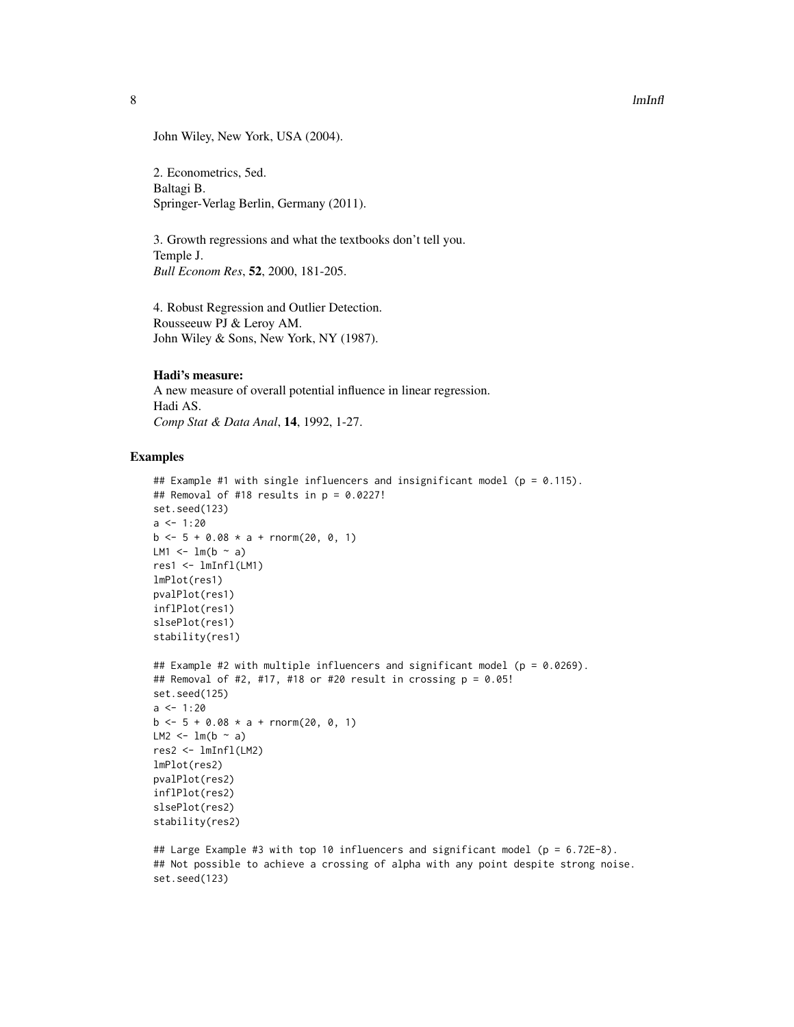John Wiley, New York, USA (2004).

2. Econometrics, 5ed. Baltagi B. Springer-Verlag Berlin, Germany (2011).

3. Growth regressions and what the textbooks don't tell you. Temple J. *Bull Econom Res*, 52, 2000, 181-205.

4. Robust Regression and Outlier Detection. Rousseeuw PJ & Leroy AM. John Wiley & Sons, New York, NY (1987).

#### Hadi's measure:

A new measure of overall potential influence in linear regression. Hadi AS. *Comp Stat & Data Anal*, 14, 1992, 1-27.

#### Examples

```
## Example #1 with single influencers and insignificant model (p = 0.115).
## Removal of #18 results in p = 0.0227!
set.seed(123)
a \le -1:20b \le -5 + 0.08 \times a + \text{rnorm}(20, 0, 1)LM1 \leftarrow lm(b \sim a)
res1 <- lmInfl(LM1)
lmPlot(res1)
pvalPlot(res1)
inflPlot(res1)
slsePlot(res1)
stability(res1)
## Example #2 with multiple influencers and significant model (p = 0.0269).
## Removal of #2, #17, #18 or #20 result in crossing p = 0.05!
set.seed(125)
a < -1:20b \le -5 + 0.08 \times a + \text{rnorm}(20, 0, 1)LM2 \leftarrow lm(b \sim a)
res2 <- lmInfl(LM2)
lmPlot(res2)
pvalPlot(res2)
inflPlot(res2)
slsePlot(res2)
stability(res2)
```
## Large Example #3 with top 10 influencers and significant model ( $p = 6.72E-8$ ). ## Not possible to achieve a crossing of alpha with any point despite strong noise. set.seed(123)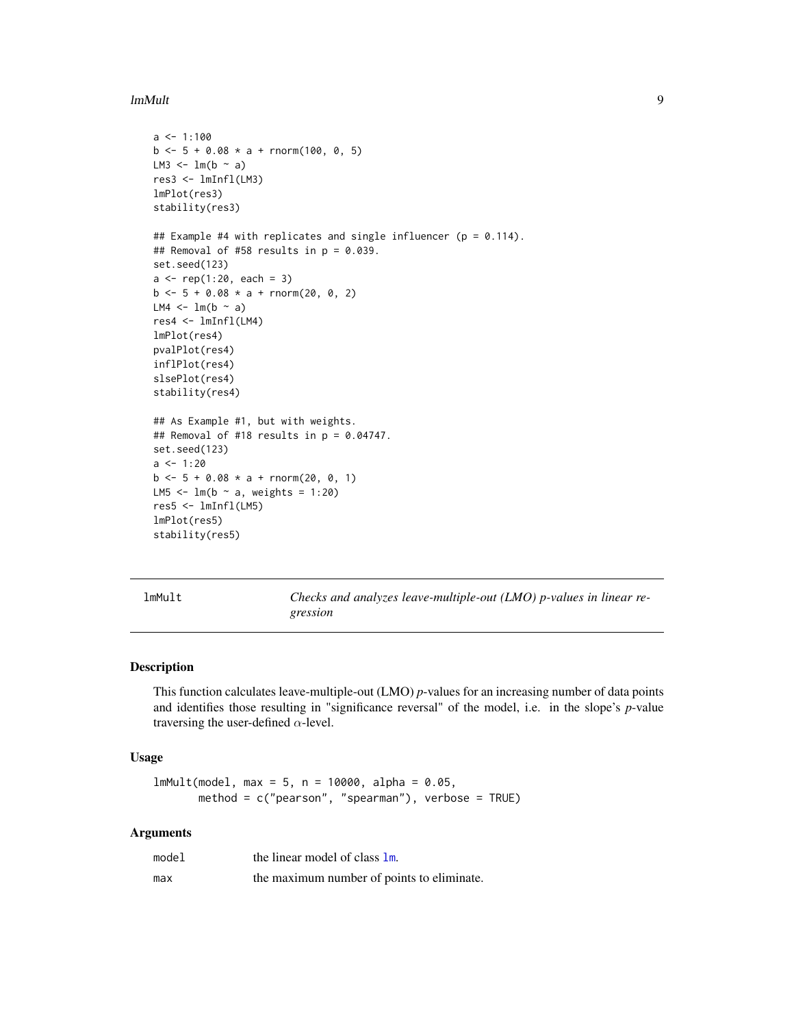#### <span id="page-8-0"></span>lmMult 9

```
a \le -1:100b \le -5 + 0.08 \times a + \text{rnorm}(100, 0, 5)LM3 <- lm(b ~ a)
res3 <- lmInfl(LM3)
lmPlot(res3)
stability(res3)
## Example #4 with replicates and single influencer (p = 0.114).
## Removal of #58 results in p = 0.039.
set.seed(123)
a \leq rep(1:20, each = 3)b \le -5 + 0.08 \times a + \text{rnorm}(20, 0, 2)LM4 \leftarrow lm(b \sim a)
res4 <- lmInfl(LM4)
lmPlot(res4)
pvalPlot(res4)
inflPlot(res4)
slsePlot(res4)
stability(res4)
## As Example #1, but with weights.
## Removal of #18 results in p = 0.04747.
set.seed(123)
a \le -1:20b \le -5 + 0.08 \times a + \text{rnorm}(20, 0, 1)LM5 \leq 1m(b \sim a, weights = 1:20)
res5 <- lmInfl(LM5)
lmPlot(res5)
stability(res5)
```
<span id="page-8-1"></span>

lmMult *Checks and analyzes leave-multiple-out (LMO) p-values in linear regression*

#### Description

This function calculates leave-multiple-out (LMO) *p*-values for an increasing number of data points and identifies those resulting in "significance reversal" of the model, i.e. in the slope's *p*-value traversing the user-defined  $\alpha$ -level.

#### Usage

```
lmMult(model, max = 5, n = 10000, alpha = 0.05,method = c("pearson", "spearman"), verbose = TRUE)
```
#### Arguments

| model | the linear model of class $\mathbf{lm}$ .  |
|-------|--------------------------------------------|
| max   | the maximum number of points to eliminate. |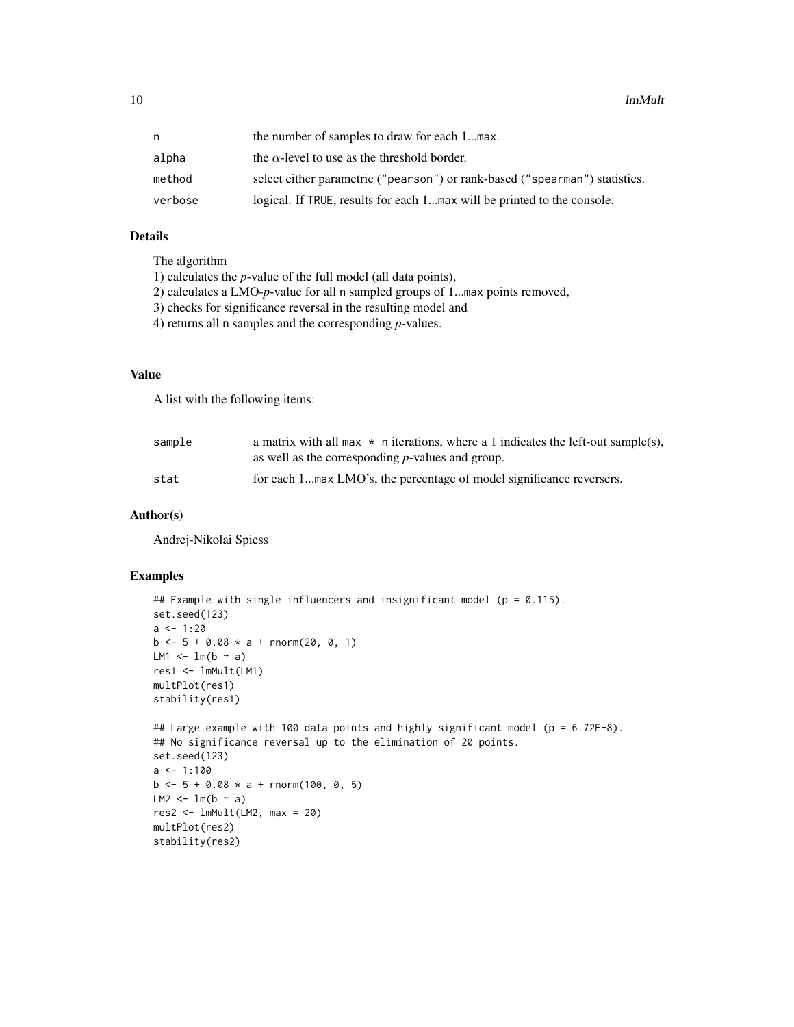| n       | the number of samples to draw for each 1max.                                |
|---------|-----------------------------------------------------------------------------|
| alpha   | the $\alpha$ -level to use as the threshold border.                         |
| method  | select either parametric ("pearson") or rank-based ("spearman") statistics. |
| verbose | logical. If TRUE, results for each 1max will be printed to the console.     |

#### Details

The algorithm 1) calculates the *p*-value of the full model (all data points), 2) calculates a LMO-*p*-value for all n sampled groups of 1...max points removed, 3) checks for significance reversal in the resulting model and 4) returns all n samples and the corresponding *p*-values.

#### Value

A list with the following items:

| sample | a matrix with all max $\star$ n iterations, where a 1 indicates the left-out sample(s), |
|--------|-----------------------------------------------------------------------------------------|
|        | as well as the corresponding $p$ -values and group.                                     |
| stat   | for each 1max LMO's, the percentage of model significance reversers.                    |

#### Author(s)

Andrej-Nikolai Spiess

#### Examples

```
## Example with single influencers and insignificant model (p = 0.115).
set.seed(123)
a \le -1:20b \le -5 + 0.08 \times a + \text{rnorm}(20, 0, 1)LM1 \leftarrow lm(b \sim a)
res1 <- lmMult(LM1)
multPlot(res1)
stability(res1)
## Large example with 100 data points and highly significant model (p = 6.72E-8).
## No significance reversal up to the elimination of 20 points.
set.seed(123)
a \leq 1:100b \le -5 + 0.08 \times a + \text{rnorm}(100, 0, 5)LM2 <- lm(b \sim a)
res2 <- lmMult(LM2, max = 20)
multPlot(res2)
stability(res2)
```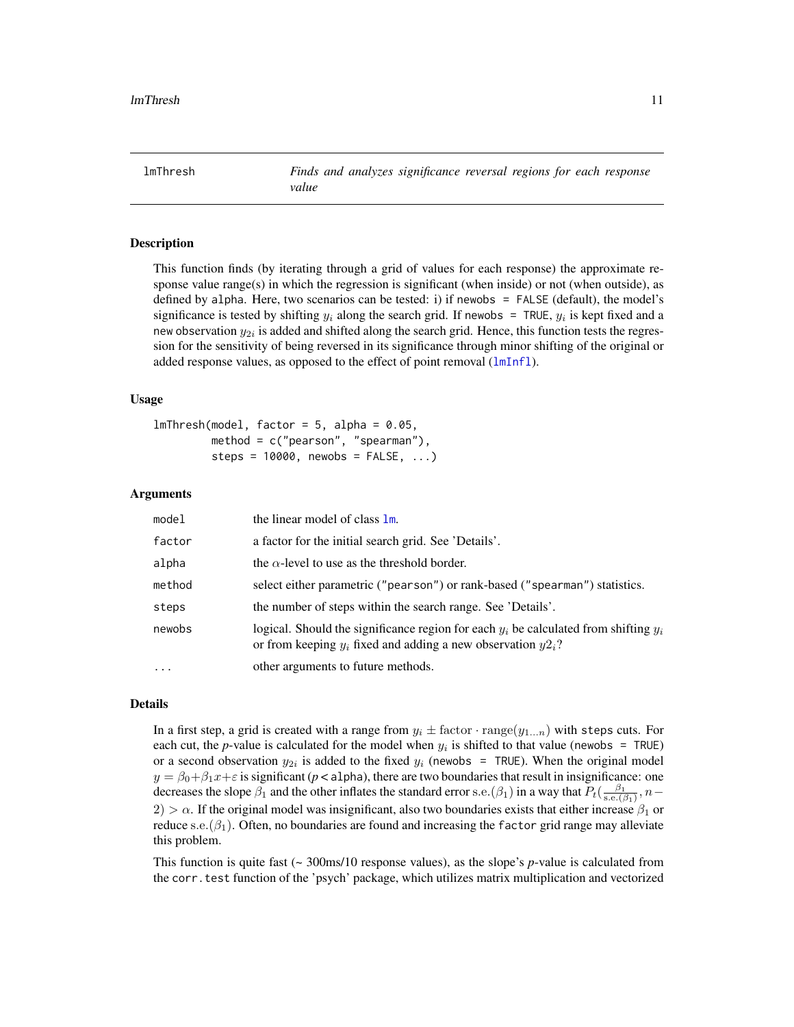<span id="page-10-1"></span><span id="page-10-0"></span>lmThresh *Finds and analyzes significance reversal regions for each response value*

#### Description

This function finds (by iterating through a grid of values for each response) the approximate response value range(s) in which the regression is significant (when inside) or not (when outside), as defined by alpha. Here, two scenarios can be tested: i) if newobs = FALSE (default), the model's significance is tested by shifting  $y_i$  along the search grid. If newobs = TRUE,  $y_i$  is kept fixed and a new observation  $y_{2i}$  is added and shifted along the search grid. Hence, this function tests the regression for the sensitivity of being reversed in its significance through minor shifting of the original or added response values, as opposed to the effect of point removal ([lmInfl](#page-5-1)).

#### Usage

 $lmThresh(model, factor = 5, alpha = 0.05,$ method =  $c("pearson", "spearman"),$ steps =  $10000$ , newobs =  $FALSE, ...$ )

#### Arguments

| model      | the linear model of class 1m.                                                                                                                                 |
|------------|---------------------------------------------------------------------------------------------------------------------------------------------------------------|
| factor     | a factor for the initial search grid. See 'Details'.                                                                                                          |
| alpha      | the $\alpha$ -level to use as the threshold border.                                                                                                           |
| method     | select either parametric ("pearson") or rank-based ("spearman") statistics.                                                                                   |
| steps      | the number of steps within the search range. See 'Details'.                                                                                                   |
| newobs     | logical. Should the significance region for each $y_i$ be calculated from shifting $y_i$<br>or from keeping $y_i$ fixed and adding a new observation $y2_i$ ? |
| $\ddots$ . | other arguments to future methods.                                                                                                                            |

#### Details

In a first step, a grid is created with a range from  $y_i \pm$  factor  $\cdot$  range $(y_{1...n})$  with steps cuts. For each cut, the *p*-value is calculated for the model when  $y_i$  is shifted to that value (newobs = TRUE) or a second observation  $y_{2i}$  is added to the fixed  $y_i$  (newobs = TRUE). When the original model  $y = \beta_0 + \beta_1 x + \varepsilon$  is significant (*p* < alpha), there are two boundaries that result in insignificance: one decreases the slope  $\beta_1$  and the other inflates the standard error s.e.( $\beta_1$ ) in a way that  $P_t(\frac{\beta_1}{s.e.(\beta_1)}, n 2) > \alpha$ . If the original model was insignificant, also two boundaries exists that either increase  $\beta_1$  or reduce s.e. $(\beta_1)$ . Often, no boundaries are found and increasing the factor grid range may alleviate this problem.

This function is quite fast ( $\sim$  300ms/10 response values), as the slope's *p*-value is calculated from the corr.test function of the 'psych' package, which utilizes matrix multiplication and vectorized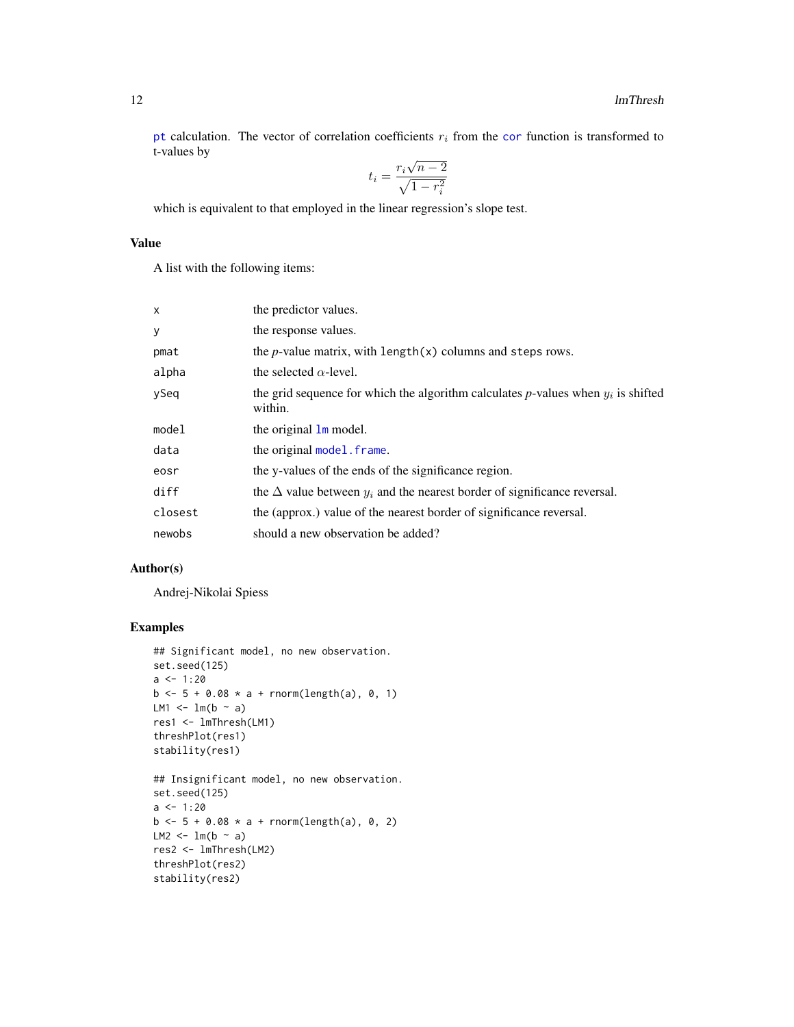<span id="page-11-0"></span>[pt](#page-0-0) calculation. The vector of [cor](#page-0-0)relation coefficients  $r_i$  from the cor function is transformed to t-values by √

$$
t_i = \frac{r_i \sqrt{n-2}}{\sqrt{1 - r_i^2}}
$$

which is equivalent to that employed in the linear regression's slope test.

#### Value

A list with the following items:

| the predictor values.                                                                          |
|------------------------------------------------------------------------------------------------|
| the response values.                                                                           |
| the <i>p</i> -value matrix, with length $(x)$ columns and steps rows.                          |
| the selected $\alpha$ -level.                                                                  |
| the grid sequence for which the algorithm calculates p-values when $y_i$ is shifted<br>within. |
| the original $\mathbf{1}\mathbf{m}$ model.                                                     |
| the original model, frame.                                                                     |
| the y-values of the ends of the significance region.                                           |
| the $\Delta$ value between $y_i$ and the nearest border of significance reversal.              |
| the (approx.) value of the nearest border of significance reversal.                            |
| should a new observation be added?                                                             |
|                                                                                                |

#### Author(s)

Andrej-Nikolai Spiess

#### Examples

```
## Significant model, no new observation.
set.seed(125)
a \leftarrow 1:20b \le -5 + 0.08 \times a + \text{rnorm}(\text{length}(a), 0, 1)LM1 \leftarrow lm(b \sim a)
res1 <- lmThresh(LM1)
threshPlot(res1)
stability(res1)
## Insignificant model, no new observation.
set.seed(125)
a \leftarrow 1:20b \le -5 + 0.08 * a + \text{norm}(\text{length}(a), 0, 2)LM2 <- lm(b \sim a)
res2 <- lmThresh(LM2)
threshPlot(res2)
stability(res2)
```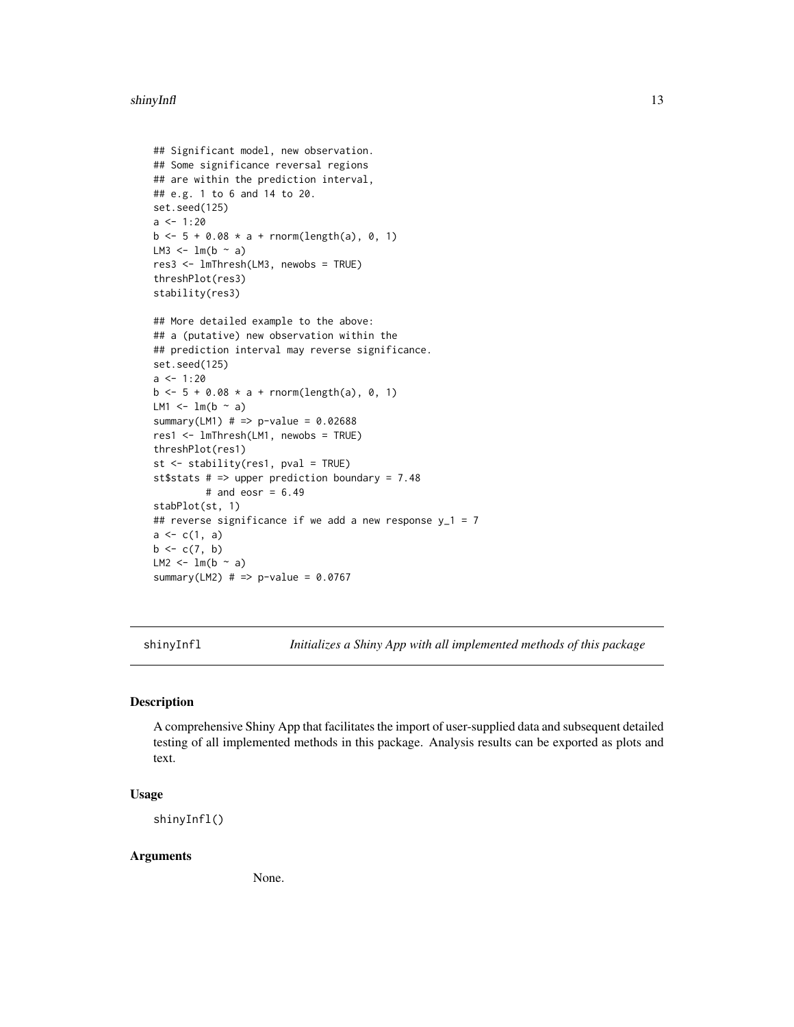#### <span id="page-12-0"></span>shinyInfl 13

```
## Significant model, new observation.
## Some significance reversal regions
## are within the prediction interval,
## e.g. 1 to 6 and 14 to 20.
set.seed(125)
a < -1:20b \le -5 + 0.08 * a + \text{norm}(\text{length}(a), 0, 1)LM3 \leftarrow lm(b \sim a)
res3 <- lmThresh(LM3, newobs = TRUE)
threshPlot(res3)
stability(res3)
```

```
## More detailed example to the above:
## a (putative) new observation within the
## prediction interval may reverse significance.
set.seed(125)
a \le -1:20b \le -5 + 0.08 * a + \text{norm}(\text{length}(a), 0, 1)LM1 \leftarrow lm(b \sim a)
summary(LM1) # => p-value = 0.02688res1 <- lmThresh(LM1, newobs = TRUE)
threshPlot(res1)
st <- stability(res1, pval = TRUE)
st$stats # => upper prediction boundary = 7.48
         # and eosr = 6.49stabPlot(st, 1)
## reverse significance if we add a new response y_1 = 7a \leftarrow c(1, a)b \leftarrow c(7, b)LM2 \leftarrow lm(b \sim a)
summary(LM2) # => p-value = 0.0767
```
shinyInfl *Initializes a Shiny App with all implemented methods of this package*

#### Description

A comprehensive Shiny App that facilitates the import of user-supplied data and subsequent detailed testing of all implemented methods in this package. Analysis results can be exported as plots and text.

#### Usage

shinyInfl()

#### Arguments

None.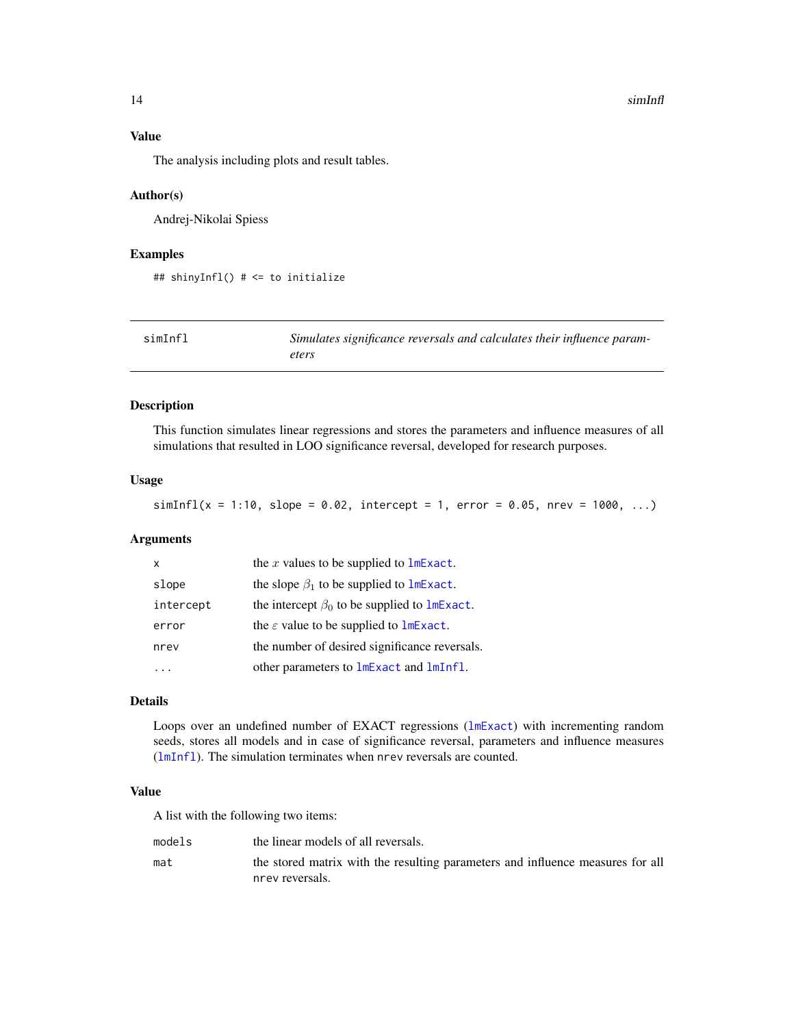#### 14 simInfl

#### Value

The analysis including plots and result tables.

#### Author(s)

Andrej-Nikolai Spiess

#### Examples

```
## shinyInfl() # <= to initialize
```

| simInfl | Simulates significance reversals and calculates their influence param- |
|---------|------------------------------------------------------------------------|
|         | eters                                                                  |

#### Description

This function simulates linear regressions and stores the parameters and influence measures of all simulations that resulted in LOO significance reversal, developed for research purposes.

#### Usage

 $simInfl(x = 1:10, slope = 0.02, intercept = 1, error = 0.05, nrev = 1000, ...)$ 

#### Arguments

| X         | the $x$ values to be supplied to $lmExact$ .                 |
|-----------|--------------------------------------------------------------|
| slope     | the slope $\beta_1$ to be supplied to lmExact.               |
| intercept | the intercept $\beta_0$ to be supplied to $\text{ImExact}$ . |
| error     | the $\varepsilon$ value to be supplied to $lmExact$ .        |
| nrev      | the number of desired significance reversals.                |
|           | other parameters to lmExact and lmInfl.                      |

#### Details

Loops over an undefined number of EXACT regressions ([lmExact](#page-3-1)) with incrementing random seeds, stores all models and in case of significance reversal, parameters and influence measures ([lmInfl](#page-5-1)). The simulation terminates when nrev reversals are counted.

#### Value

A list with the following two items:

| models | the linear models of all reversals.                                            |
|--------|--------------------------------------------------------------------------------|
| mat    | the stored matrix with the resulting parameters and influence measures for all |
|        | nrev reversals.                                                                |

<span id="page-13-0"></span>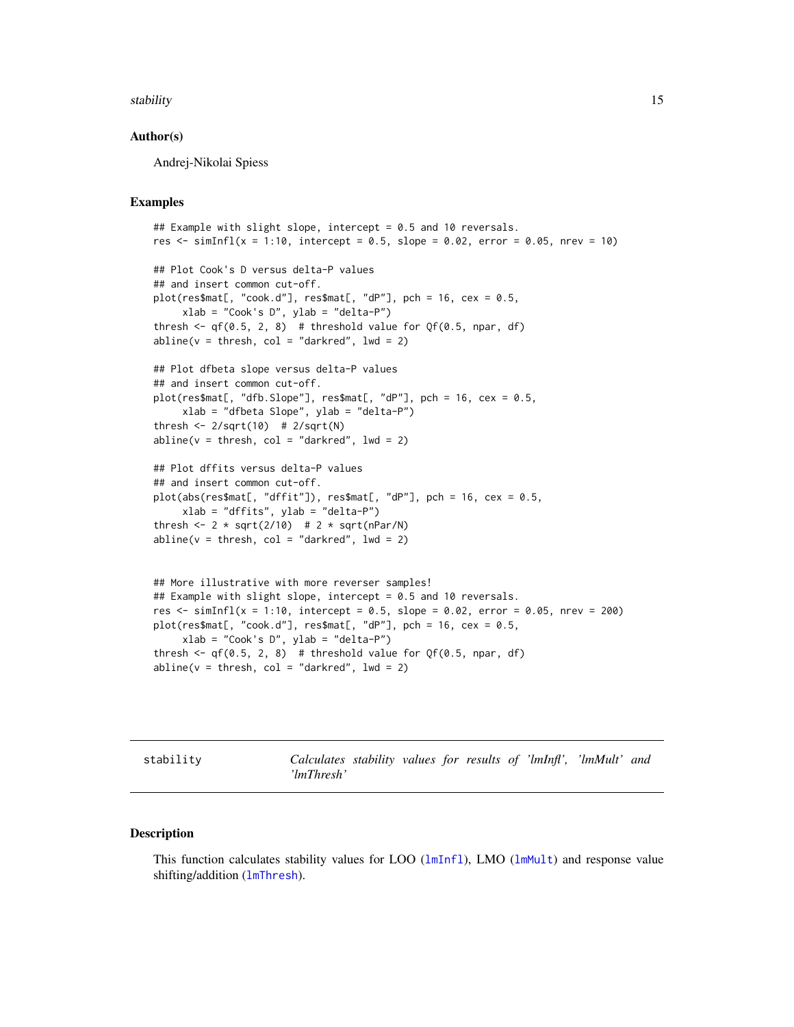#### <span id="page-14-0"></span>stability and the stability of the stability of the stability of the stability of the stability of the stability of the stability of the stability of the stability of the stability of the stability of the stability of the

#### Author(s)

Andrej-Nikolai Spiess

#### Examples

```
## Example with slight slope, intercept = 0.5 and 10 reversals.
res \le simInfl(x = 1:10, intercept = 0.5, slope = 0.02, error = 0.05, nrev = 10)
## Plot Cook's D versus delta-P values
## and insert common cut-off.
plot(res$mat[, "cock.d"], res$mat[, "dP"], pch = 16, cex = 0.5,
     xlab = "Cook's D", ylab = "delta-P")
thresh \leq qf(0.5, 2, 8) # threshold value for Qf(0.5, npar, df)
abline(v = thresh, col = "darkred", lwd = 2)## Plot dfbeta slope versus delta-P values
## and insert common cut-off.
plot(res$mat[, "dfb.Slope"], res$mat[, "dP"], pch = 16, cex = 0.5,
    xlab = "dfbeta Slope", ylab = "delta-P")
thresh \leq 2/sqrt(10) # 2/sqrt(N)
abline(v = thresh, col = "darkred", lwd = 2)## Plot dffits versus delta-P values
## and insert common cut-off.
plot(abs(res$mat[, "diffit"]), res$mat[, "dP"], pch = 16, cex = 0.5,xlab = "dffits", ylab = "delta-P")
thresh <- 2 * sqrt(2/10) # 2 * sqrt(nPar/N)
abline(v = thresh, col = "darkred", lwd = 2)## More illustrative with more reverser samples!
## Example with slight slope, intercept = 0.5 and 10 reversals.
res \le simInfl(x = 1:10, intercept = 0.5, slope = 0.02, error = 0.05, nrev = 200)
plot(res$mat[, "cock.d"], res$mat[, "dP"], pch = 16, cex = 0.5,
     xlab = "Cook's D", ylab = "delta-P")thresh \leq qf(0.5, 2, 8) # threshold value for Qf(0.5, npar, df)
abline(v = thresh, col = "darkred", lwd = 2)
```
<span id="page-14-1"></span>stability *Calculates stability values for results of 'lmInfl', 'lmMult' and 'lmThresh'*

#### Description

This function calculates stability values for LOO  $(lmInfl)$  $(lmInfl)$  $(lmInfl)$ , LMO  $(lmMult)$  $(lmMult)$  $(lmMult)$  and response value shifting/addition ([lmThresh](#page-10-1)).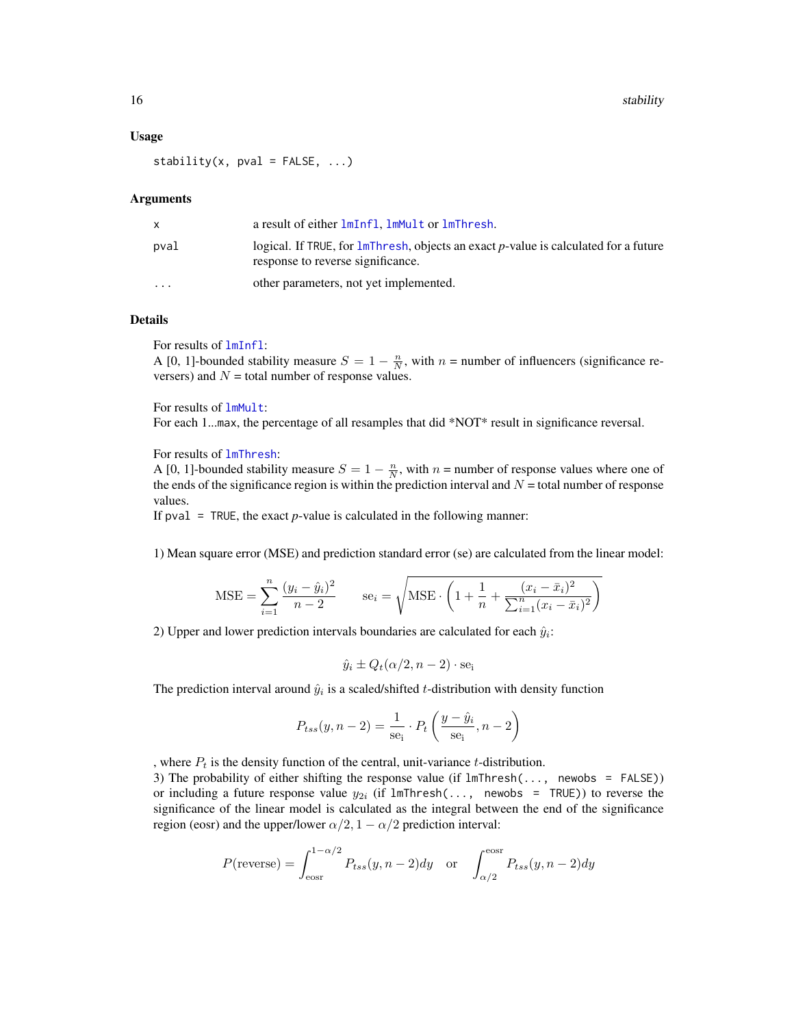#### <span id="page-15-0"></span>Usage

stability(x,  $pval = FALSE, ...$ )

#### Arguments

|                         | a result of either lmInfl, lmMult or lmThresh.                                                                           |
|-------------------------|--------------------------------------------------------------------------------------------------------------------------|
| pval                    | logical. If TRUE, for lmThresh, objects an exact p-value is calculated for a future<br>response to reverse significance. |
| $\cdot$ $\cdot$ $\cdot$ | other parameters, not yet implemented.                                                                                   |

#### Details

For results of [lmInfl](#page-5-1):

A [0, 1]-bounded stability measure  $S = 1 - \frac{n}{N}$ , with  $n =$  number of influencers (significance reversers) and  $N =$  total number of response values.

For results of [lmMult](#page-8-1):

For each 1...max, the percentage of all resamples that did \*NOT\* result in significance reversal.

#### For results of [lmThresh](#page-10-1):

A [0, 1]-bounded stability measure  $S = 1 - \frac{n}{N}$ , with  $n =$  number of response values where one of the ends of the significance region is within the prediction interval and  $N =$  total number of response values.

If pval  $=$  TRUE, the exact *p*-value is calculated in the following manner:

1) Mean square error (MSE) and prediction standard error (se) are calculated from the linear model:

$$
\text{MSE} = \sum_{i=1}^{n} \frac{(y_i - \hat{y}_i)^2}{n-2} \qquad \text{se}_i = \sqrt{\text{MSE} \cdot \left(1 + \frac{1}{n} + \frac{(x_i - \bar{x}_i)^2}{\sum_{i=1}^{n} (x_i - \bar{x}_i)^2}\right)}
$$

2) Upper and lower prediction intervals boundaries are calculated for each  $\hat{y}_i$ :

$$
\hat{y}_i \pm Q_t(\alpha/2, n-2) \cdot \text{se}_i
$$

The prediction interval around  $\hat{y}_i$  is a scaled/shifted t-distribution with density function

$$
P_{tss}(y, n-2) = \frac{1}{se_i} \cdot P_t \left( \frac{y - \hat{y}_i}{se_i}, n-2 \right)
$$

, where  $P_t$  is the density function of the central, unit-variance t-distribution.

3) The probability of either shifting the response value (if lmThresh(..., newobs = FALSE)) or including a future response value  $y_{2i}$  (if lmThresh(..., newobs = TRUE)) to reverse the significance of the linear model is calculated as the integral between the end of the significance region (eosr) and the upper/lower  $\alpha/2$ ,  $1 - \alpha/2$  prediction interval:

$$
P(\text{reverse}) = \int_{\text{eosr}}^{1-\alpha/2} P_{tss}(y, n-2) dy \quad \text{or} \quad \int_{\alpha/2}^{\text{eosr}} P_{tss}(y, n-2) dy
$$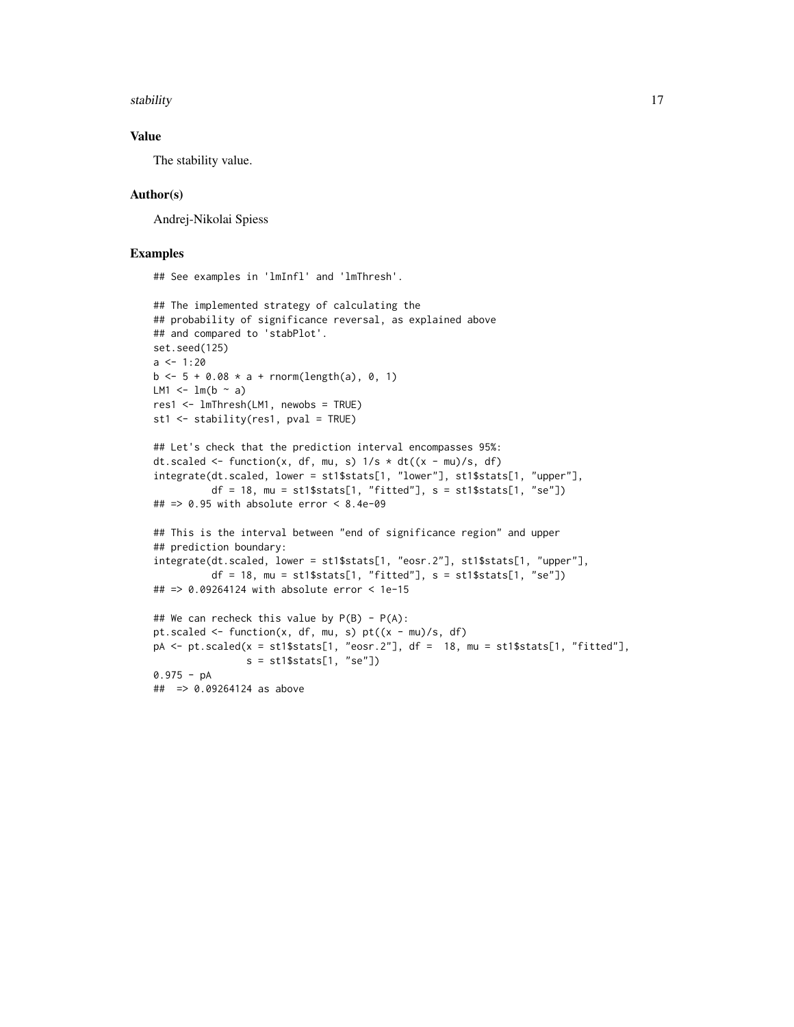stability and the stability of the state of the state of the state of the stability of the stability of the state of the state of the state of the state of the state of the state of the state of the state of the state of t

#### Value

The stability value.

#### Author(s)

Andrej-Nikolai Spiess

#### Examples

## See examples in 'lmInfl' and 'lmThresh'.

```
## The implemented strategy of calculating the
## probability of significance reversal, as explained above
## and compared to 'stabPlot'.
set.seed(125)
a \le -1:20b \le -5 + 0.08 \times a + \text{norm}(\text{length}(a), 0, 1)LM1 \leftarrow lm(b \sim a)
res1 <- lmThresh(LM1, newobs = TRUE)
st1 <- stability(res1, pval = TRUE)
## Let's check that the prediction interval encompasses 95%:
dt.scaled <- function(x, df, mu, s) 1/s * dt((x - mu)/s, df)integrate(dt.scaled, lower = st1$stats[1, "lower"], st1$stats[1, "upper"],
          df = 18, mu = st1$stats[1, "fitted"], s = st1$stats[1, "se"])
## => 0.95 with absolute error < 8.4e-09
## This is the interval between "end of significance region" and upper
## prediction boundary:
integrate(dt.scaled, lower = st1$stats[1, "eosr.2"], st1$stats[1, "upper"],
          df = 18, mu = st1$stats[1, "fitted"], s = st1$stats[1, "se"])
## => 0.09264124 with absolute error < 1e-15
## We can recheck this value by P(B) - P(A):
pt.scaled \leq function(x, df, mu, s) pt((x - mu)/s, df)pA \leq pt.\,scaled(x = st1$stats[1, "eosr.2"], df = 18, mu = st1$stats[1, "fitted"],s = st1$stats[1, "se"])
0.975 - pA
## => 0.09264124 as above
```